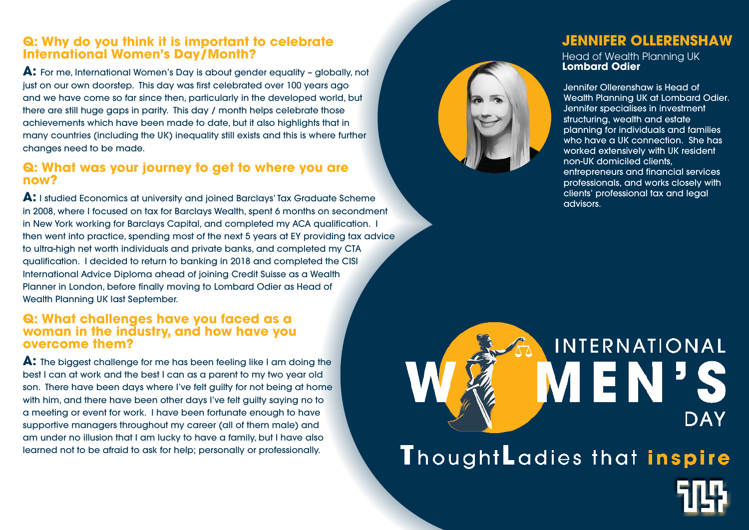# **Q: Why do you think it is important to celebrate International Women's Day/Month?**

**A:** For me, International Women's Day is about gender equality – globally, not just on our own doorstep. This day was first celebrated over 100 years ago and we have come so far since then, particularly in the developed world, but there are still huge gaps in parity. This day / month helps celebrate those achievements which have been made to date, but it also highlights that in many countries (including the UK) inequality still exists and this is where further changes need to be made.

### **Q: What was your journey to get to where you are now?**

**A:** I studied Economics at university and joined Barclays' Tax Graduate Scheme in 2008, where I focused on tax for Barclays Wealth, spent 6 months on secondment in New York working for Barclays Capital, and completed my ACA qualification. I then went into practice, spending most of the next 5 years at EY providing tax advice to ultra-high net worth individuals and private banks, and completed my CTA qualification. I decided to return to banking in 2018 and completed the CISI International Advice Diploma ahead of joining Credit Suisse as a Wealth Planner in London, before finally moving to Lombard Odier as Head of Wealth Planning UK last September.

### **Q: What challenges have you faced as a woman in the industry, and how have you overcome them?**

**A:** The biggest challenge for me has been feeling like I am doing the best I can at work and the best I can as a parent to my two year old son. There have been days where I've felt guilty for not being at home with him, and there have been other days I've felt guilty saying no to a meeting or event for work. I have been fortunate enough to have supportive managers throughout my career (all of them male) and am under no illusion that I am lucky to have a family, but I have also learned not to be afraid to ask for help; personally or professionally.





# **JENNIFER OLLERENSHAW**

Head of Wealth Planning UK **Lombard Odier**

Jennifer Ollerenshaw is Head of Wealth Planning UK at Lombard Odier. Jennifer specialises in investment structuring, wealth and estate planning for individuals and families who have a UK connection. She has worked extensively with UK resident non-UK domiciled clients, entrepreneurs and financial services

professionals, and works closely with clients' professional tax and legal advisors.

# **INTERNATIONAL** EN **DAY** ThoughtLadies that inspire